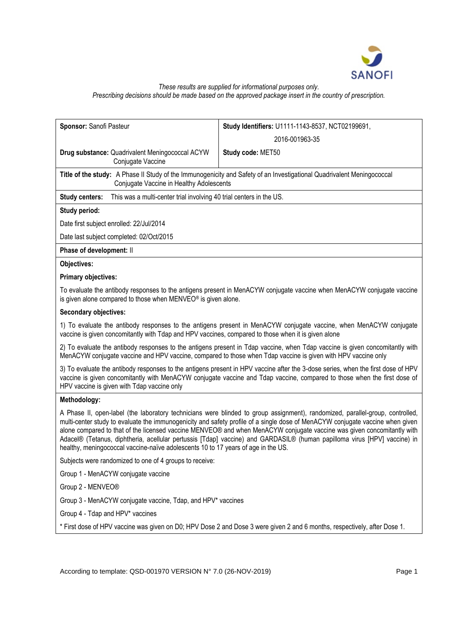

# *These results are supplied for informational purposes only. Prescribing decisions should be made based on the approved package insert in the country of prescription.*

| Sponsor: Sanofi Pasteur                                                                                                                                                                                                                                                                                                                                                                                                                                                                                                                                                                                   | Study Identifiers: U1111-1143-8537, NCT02199691,                                                                          |  |
|-----------------------------------------------------------------------------------------------------------------------------------------------------------------------------------------------------------------------------------------------------------------------------------------------------------------------------------------------------------------------------------------------------------------------------------------------------------------------------------------------------------------------------------------------------------------------------------------------------------|---------------------------------------------------------------------------------------------------------------------------|--|
|                                                                                                                                                                                                                                                                                                                                                                                                                                                                                                                                                                                                           | 2016-001963-35                                                                                                            |  |
|                                                                                                                                                                                                                                                                                                                                                                                                                                                                                                                                                                                                           |                                                                                                                           |  |
| Drug substance: Quadrivalent Meningococcal ACYW<br>Conjugate Vaccine                                                                                                                                                                                                                                                                                                                                                                                                                                                                                                                                      | Study code: MET50                                                                                                         |  |
| Title of the study: A Phase II Study of the Immunogenicity and Safety of an Investigational Quadrivalent Meningococcal<br>Conjugate Vaccine in Healthy Adolescents                                                                                                                                                                                                                                                                                                                                                                                                                                        |                                                                                                                           |  |
| This was a multi-center trial involving 40 trial centers in the US.<br><b>Study centers:</b>                                                                                                                                                                                                                                                                                                                                                                                                                                                                                                              |                                                                                                                           |  |
| Study period:                                                                                                                                                                                                                                                                                                                                                                                                                                                                                                                                                                                             |                                                                                                                           |  |
| Date first subject enrolled: 22/Jul/2014                                                                                                                                                                                                                                                                                                                                                                                                                                                                                                                                                                  |                                                                                                                           |  |
| Date last subject completed: 02/Oct/2015                                                                                                                                                                                                                                                                                                                                                                                                                                                                                                                                                                  |                                                                                                                           |  |
| Phase of development: II                                                                                                                                                                                                                                                                                                                                                                                                                                                                                                                                                                                  |                                                                                                                           |  |
| Objectives:                                                                                                                                                                                                                                                                                                                                                                                                                                                                                                                                                                                               |                                                                                                                           |  |
| <b>Primary objectives:</b>                                                                                                                                                                                                                                                                                                                                                                                                                                                                                                                                                                                |                                                                                                                           |  |
| To evaluate the antibody responses to the antigens present in MenACYW conjugate vaccine when MenACYW conjugate vaccine<br>is given alone compared to those when MENVEO® is given alone.                                                                                                                                                                                                                                                                                                                                                                                                                   |                                                                                                                           |  |
| <b>Secondary objectives:</b>                                                                                                                                                                                                                                                                                                                                                                                                                                                                                                                                                                              |                                                                                                                           |  |
| 1) To evaluate the antibody responses to the antigens present in MenACYW conjugate vaccine, when MenACYW conjugate<br>vaccine is given concomitantly with Tdap and HPV vaccines, compared to those when it is given alone                                                                                                                                                                                                                                                                                                                                                                                 |                                                                                                                           |  |
| 2) To evaluate the antibody responses to the antigens present in Tdap vaccine, when Tdap vaccine is given concomitantly with<br>MenACYW conjugate vaccine and HPV vaccine, compared to those when Tdap vaccine is given with HPV vaccine only                                                                                                                                                                                                                                                                                                                                                             |                                                                                                                           |  |
| 3) To evaluate the antibody responses to the antigens present in HPV vaccine after the 3-dose series, when the first dose of HPV<br>vaccine is given concomitantly with MenACYW conjugate vaccine and Tdap vaccine, compared to those when the first dose of<br>HPV vaccine is given with Tdap vaccine only                                                                                                                                                                                                                                                                                               |                                                                                                                           |  |
| Methodology:                                                                                                                                                                                                                                                                                                                                                                                                                                                                                                                                                                                              |                                                                                                                           |  |
| A Phase II, open-label (the laboratory technicians were blinded to group assignment), randomized, parallel-group, controlled,<br>multi-center study to evaluate the immunogenicity and safety profile of a single dose of MenACYW conjugate vaccine when given<br>alone compared to that of the licensed vaccine MENVEO® and when MenACYW conjugate vaccine was given concomitantly with<br>Adacel® (Tetanus, diphtheria, acellular pertussis [Tdap] vaccine) and GARDASIL® (human papilloma virus [HPV] vaccine) in<br>healthy, meningococcal vaccine-naïve adolescents 10 to 17 years of age in the US. |                                                                                                                           |  |
| Subjects were randomized to one of 4 groups to receive:                                                                                                                                                                                                                                                                                                                                                                                                                                                                                                                                                   |                                                                                                                           |  |
| Group 1 - MenACYW conjugate vaccine                                                                                                                                                                                                                                                                                                                                                                                                                                                                                                                                                                       |                                                                                                                           |  |
| Group 2 - MENVEO®                                                                                                                                                                                                                                                                                                                                                                                                                                                                                                                                                                                         |                                                                                                                           |  |
| Group 3 - MenACYW conjugate vaccine, Tdap, and HPV* vaccines                                                                                                                                                                                                                                                                                                                                                                                                                                                                                                                                              |                                                                                                                           |  |
| Group 4 - Tdap and HPV* vaccines                                                                                                                                                                                                                                                                                                                                                                                                                                                                                                                                                                          |                                                                                                                           |  |
|                                                                                                                                                                                                                                                                                                                                                                                                                                                                                                                                                                                                           | * First dose of HPV vaccine was given on D0; HPV Dose 2 and Dose 3 were given 2 and 6 months, respectively, after Dose 1. |  |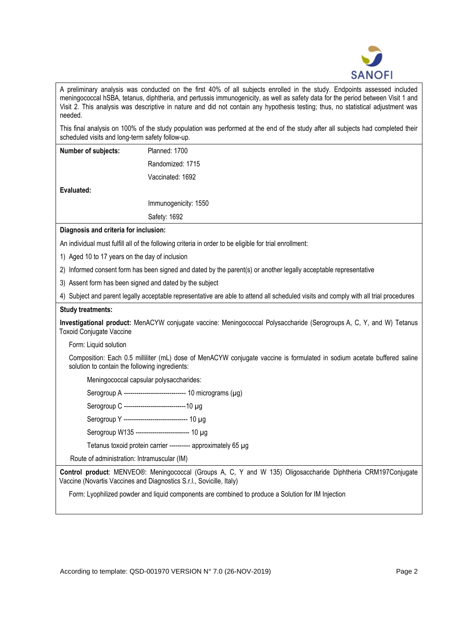

A preliminary analysis was conducted on the first 40% of all subjects enrolled in the study. Endpoints assessed included meningococcal hSBA, tetanus, diphtheria, and pertussis immunogenicity, as well as safety data for the period between Visit 1 and Visit 2. This analysis was descriptive in nature and did not contain any hypothesis testing; thus, no statistical adjustment was needed.

This final analysis on 100% of the study population was performed at the end of the study after all subjects had completed their scheduled visits and long-term safety follow-up.

| Number of subjects:                                                                                                                  | Planned: 1700                                                                                                                                                                         |  |
|--------------------------------------------------------------------------------------------------------------------------------------|---------------------------------------------------------------------------------------------------------------------------------------------------------------------------------------|--|
|                                                                                                                                      | Randomized: 1715                                                                                                                                                                      |  |
|                                                                                                                                      | Vaccinated: 1692                                                                                                                                                                      |  |
| Evaluated:                                                                                                                           |                                                                                                                                                                                       |  |
|                                                                                                                                      | Immunogenicity: 1550                                                                                                                                                                  |  |
|                                                                                                                                      | Safety: 1692                                                                                                                                                                          |  |
| Diagnosis and criteria for inclusion:                                                                                                |                                                                                                                                                                                       |  |
|                                                                                                                                      | An individual must fulfill all of the following criteria in order to be eligible for trial enrollment:                                                                                |  |
| 1) Aged 10 to 17 years on the day of inclusion                                                                                       |                                                                                                                                                                                       |  |
|                                                                                                                                      | 2) Informed consent form has been signed and dated by the parent(s) or another legally acceptable representative                                                                      |  |
| 3) Assent form has been signed and dated by the subject                                                                              |                                                                                                                                                                                       |  |
| 4) Subject and parent legally acceptable representative are able to attend all scheduled visits and comply with all trial procedures |                                                                                                                                                                                       |  |
| <b>Study treatments:</b>                                                                                                             |                                                                                                                                                                                       |  |
| <b>Toxoid Conjugate Vaccine</b>                                                                                                      | Investigational product: MenACYW conjugate vaccine: Meningococcal Polysaccharide (Serogroups A, C, Y, and W) Tetanus                                                                  |  |
| Form: Liquid solution                                                                                                                |                                                                                                                                                                                       |  |
| solution to contain the following ingredients:                                                                                       | Composition: Each 0.5 milliliter (mL) dose of MenACYW conjugate vaccine is formulated in sodium acetate buffered saline                                                               |  |
| Meningococcal capsular polysaccharides:                                                                                              |                                                                                                                                                                                       |  |
|                                                                                                                                      | Serogroup A ----------------------------- 10 micrograms (µg)                                                                                                                          |  |
| Serogroup C -------------------------------10 µg                                                                                     |                                                                                                                                                                                       |  |
|                                                                                                                                      | Serogroup Y ------------------------------ 10 µg                                                                                                                                      |  |
|                                                                                                                                      | Serogroup W135 ------------------------- 10 µg                                                                                                                                        |  |
|                                                                                                                                      | Tetanus toxoid protein carrier ---------- approximately 65 µg                                                                                                                         |  |
| Route of administration: Intramuscular (IM)                                                                                          |                                                                                                                                                                                       |  |
|                                                                                                                                      | Control product: MENVEO®: Meningococcal (Groups A, C, Y and W 135) Oligosaccharide Diphtheria CRM197Conjugate<br>Vaccine (Novartis Vaccines and Diagnostics S.r.l., Sovicille, Italy) |  |
|                                                                                                                                      | Form: Lyophilized powder and liquid components are combined to produce a Solution for IM Injection                                                                                    |  |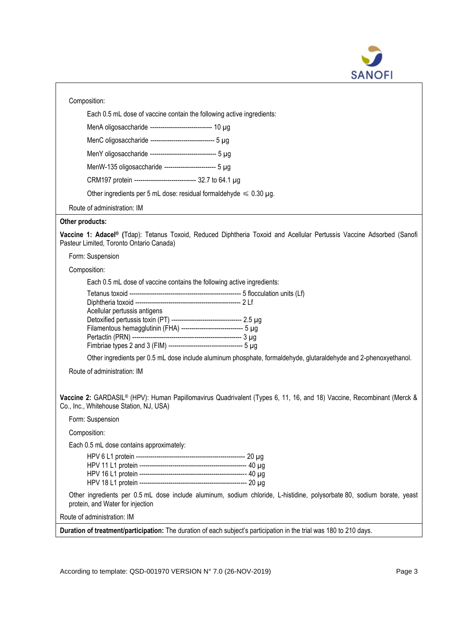

| Composition:                                                                                                                                                                     |
|----------------------------------------------------------------------------------------------------------------------------------------------------------------------------------|
| Each 0.5 mL dose of vaccine contain the following active ingredients:                                                                                                            |
| MenA oligosaccharide ----------------------------- 10 µg                                                                                                                         |
| MenC oligosaccharide ------------------------------ 5 µg                                                                                                                         |
| MenY oligosaccharide -------------------------------- 5 µg                                                                                                                       |
| MenW-135 oligosaccharide ------------------------- 5 µg                                                                                                                          |
| CRM197 protein ----------------------------- 32.7 to 64.1 µg                                                                                                                     |
| Other ingredients per 5 mL dose: residual formaldehyde $\leq 0.30 \mu g$ .                                                                                                       |
| Route of administration: IM                                                                                                                                                      |
| Other products:                                                                                                                                                                  |
| Vaccine 1: Adacel® (Tdap): Tetanus Toxoid, Reduced Diphtheria Toxoid and Acellular Pertussis Vaccine Adsorbed (Sanofi<br>Pasteur Limited, Toronto Ontario Canada)                |
| Form: Suspension                                                                                                                                                                 |
| Composition:                                                                                                                                                                     |
| Each 0.5 mL dose of vaccine contains the following active ingredients:                                                                                                           |
| Acellular pertussis antigens<br>Detoxified pertussis toxin (PT) ---------------------------------- 2.5 µg<br>Filamentous hemagglutinin (FHA) ------------------------------ 5 µg |
| Other ingredients per 0.5 mL dose include aluminum phosphate, formaldehyde, glutaraldehyde and 2-phenoxyethanol.                                                                 |
| Route of administration: IM                                                                                                                                                      |
| Vaccine 2: GARDASIL® (HPV): Human Papillomavirus Quadrivalent (Types 6, 11, 16, and 18) Vaccine, Recombinant (Merck &<br>Co., Inc., Whitehouse Station, NJ, USA)                 |
| Form: Suspension                                                                                                                                                                 |
| Composition:                                                                                                                                                                     |
| Each 0.5 mL dose contains approximately:                                                                                                                                         |
|                                                                                                                                                                                  |
| Other ingredients per 0.5 mL dose include aluminum, sodium chloride, L-histidine, polysorbate 80, sodium borate, yeast<br>protein, and Water for injection                       |
| Route of administration: IM                                                                                                                                                      |
| Duration of treatment/participation: The duration of each subject's participation in the trial was 180 to 210 days.                                                              |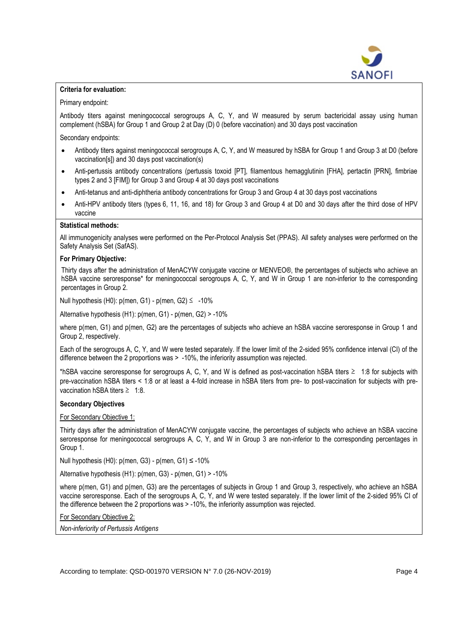

# **Criteria for evaluation:**

Primary endpoint:

Antibody titers against meningococcal serogroups A, C, Y, and W measured by serum bactericidal assay using human complement (hSBA) for Group 1 and Group 2 at Day (D) 0 (before vaccination) and 30 days post vaccination

Secondary endpoints:

- Antibody titers against meningococcal serogroups A, C, Y, and W measured by hSBA for Group 1 and Group 3 at D0 (before vaccination[s]) and 30 days post vaccination(s)
- Anti-pertussis antibody concentrations (pertussis toxoid [PT], filamentous hemagglutinin [FHA], pertactin [PRN], fimbriae types 2 and 3 [FIM]) for Group 3 and Group 4 at 30 days post vaccinations
- Anti-tetanus and anti-diphtheria antibody concentrations for Group 3 and Group 4 at 30 days post vaccinations
- Anti-HPV antibody titers (types 6, 11, 16, and 18) for Group 3 and Group 4 at D0 and 30 days after the third dose of HPV vaccine

### **Statistical methods:**

All immunogenicity analyses were performed on the Per-Protocol Analysis Set (PPAS). All safety analyses were performed on the Safety Analysis Set (SafAS).

#### **For Primary Objective:**

Thirty days after the administration of MenACYW conjugate vaccine or MENVEO® , the percentages of subjects who achieve an hSBA vaccine seroresponse\* for meningococcal serogroups A, C, Y, and W in Group 1 are non-inferior to the corresponding percentages in Group 2.

Null hypothesis (H0):  $p$ (men, G1) -  $p$ (men, G2)  $\leq -10\%$ 

Alternative hypothesis (H1): p(men, G1) - p(men, G2) > -10%

where p(men, G1) and p(men, G2) are the percentages of subjects who achieve an hSBA vaccine seroresponse in Group 1 and Group 2, respectively.

Each of the serogroups A, C, Y, and W were tested separately. If the lower limit of the 2-sided 95% confidence interval (CI) of the difference between the 2 proportions was > -10%, the inferiority assumption was rejected.

\*hSBA vaccine seroresponse for serogroups A, C, Y, and W is defined as post-vaccination hSBA titers ≥ 1:8 for subjects with pre-vaccination hSBA titers < 1:8 or at least a 4-fold increase in hSBA titers from pre- to post-vaccination for subjects with prevaccination hSBA titers  $\geq 1:8$ .

#### **Secondary Objectives**

# For Secondary Objective 1:

Thirty days after the administration of MenACYW conjugate vaccine, the percentages of subjects who achieve an hSBA vaccine seroresponse for meningococcal serogroups A, C, Y, and W in Group 3 are non-inferior to the corresponding percentages in Group 1.

Null hypothesis (H0):  $p$ (men, G3) -  $p$ (men, G1)  $\leq$  -10%

Alternative hypothesis (H1): p(men, G3) - p(men, G1) > -10%

where p(men, G1) and p(men, G3) are the percentages of subjects in Group 1 and Group 3, respectively, who achieve an hSBA vaccine seroresponse. Each of the serogroups A, C, Y, and W were tested separately. If the lower limit of the 2-sided 95% CI of the difference between the 2 proportions was > -10%, the inferiority assumption was rejected.

For Secondary Objective 2:

*Non-inferiority of Pertussis Antigens*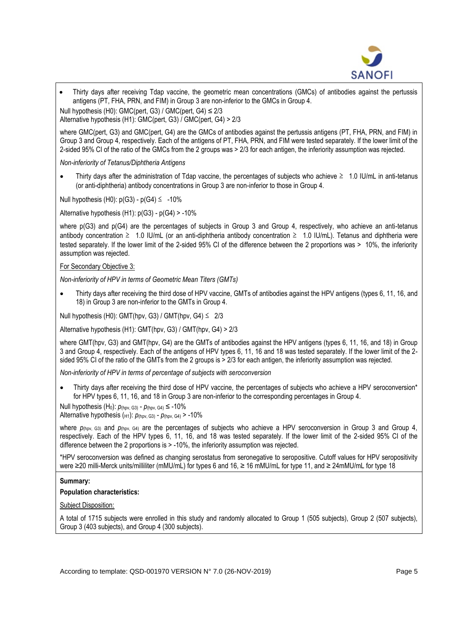

Thirty days after receiving Tdap vaccine, the geometric mean concentrations (GMCs) of antibodies against the pertussis antigens (PT, FHA, PRN, and FIM) in Group 3 are non-inferior to the GMCs in Group 4.

Null hypothesis (H0): GMC(pert, G3) / GMC(pert, G4) ≤ 2/3

Alternative hypothesis (H1): GMC(pert, G3) / GMC(pert, G4) > 2/3

where GMC(pert, G3) and GMC(pert, G4) are the GMCs of antibodies against the pertussis antigens (PT, FHA, PRN, and FIM) in Group 3 and Group 4, respectively. Each of the antigens of PT, FHA, PRN, and FIM were tested separately. If the lower limit of the 2-sided 95% CI of the ratio of the GMCs from the 2 groups was > 2/3 for each antigen, the inferiority assumption was rejected.

*Non-inferiority of Tetanus/Diphtheria Antigens*

Thirty days after the administration of Tdap vaccine, the percentages of subjects who achieve  $\geq 1.0$  IU/mL in anti-tetanus (or anti-diphtheria) antibody concentrations in Group 3 are non-inferior to those in Group 4.

Null hypothesis (H0):  $p(G3) - p(G4) \le -10\%$ 

Alternative hypothesis (H1): p(G3) - p(G4) > -10%

where p(G3) and p(G4) are the percentages of subjects in Group 3 and Group 4, respectively, who achieve an anti-tetanus antibody concentration  $\geq 1.0$  IU/mL (or an anti-diphtheria antibody concentration  $\geq 1.0$  IU/mL). Tetanus and diphtheria were tested separately. If the lower limit of the 2-sided 95% CI of the difference between the 2 proportions was > 10%, the inferiority assumption was rejected.

# For Secondary Objective 3:

*Non-inferiority of HPV in terms of Geometric Mean Titers (GMTs)*

• Thirty days after receiving the third dose of HPV vaccine, GMTs of antibodies against the HPV antigens (types 6, 11, 16, and 18) in Group 3 are non-inferior to the GMTs in Group 4.

Null hypothesis (H0): GMT(hpv, G3) / GMT(hpv, G4)  $\leq$  2/3

Alternative hypothesis (H1): GMT(hpv, G3) / GMT(hpv, G4) > 2/3

where GMT(hpv, G3) and GMT(hpv, G4) are the GMTs of antibodies against the HPV antigens (types 6, 11, 16, and 18) in Group 3 and Group 4, respectively. Each of the antigens of HPV types 6, 11, 16 and 18 was tested separately. If the lower limit of the 2 sided 95% CI of the ratio of the GMTs from the 2 groups is > 2/3 for each antigen, the inferiority assumption was rejected.

*Non-inferiority of HPV in terms of percentage of subjects with seroconversion*

Thirty days after receiving the third dose of HPV vaccine, the percentages of subjects who achieve a HPV seroconversion\* for HPV types 6, 11, 16, and 18 in Group 3 are non-inferior to the corresponding percentages in Group 4.

Null hypothesis (H<sub>0</sub>):  $p_{(hpv, G3)}$  -  $p_{(hpv, G4)}$  ≤ -10%

Alternative hypothesis ( $H1$ ):  $p_{(hpv, G3)} - p_{(hpv, G4)} > -10\%$ 

where  $p_{(hpv, G3)}$  and  $p_{(hpv, G4)}$  are the percentages of subjects who achieve a HPV seroconversion in Group 3 and Group 4, respectively. Each of the HPV types 6, 11, 16, and 18 was tested separately. If the lower limit of the 2-sided 95% CI of the difference between the 2 proportions is > -10%, the inferiority assumption was rejected.

\*HPV seroconversion was defined as changing serostatus from seronegative to seropositive. Cutoff values for HPV seropositivity were ≥20 milli-Merck units/milliliter (mMU/mL) for types 6 and 16, ≥ 16 mMU/mL for type 11, and ≥ 24mMU/mL for type 18

### **Summary:**

**Population characteristics:**

Subject Disposition:

A total of 1715 subjects were enrolled in this study and randomly allocated to Group 1 (505 subjects), Group 2 (507 subjects), Group 3 (403 subjects), and Group 4 (300 subjects).

According to template: QSD-001970 VERSION N° 7.0 (26-NOV-2019) Page 5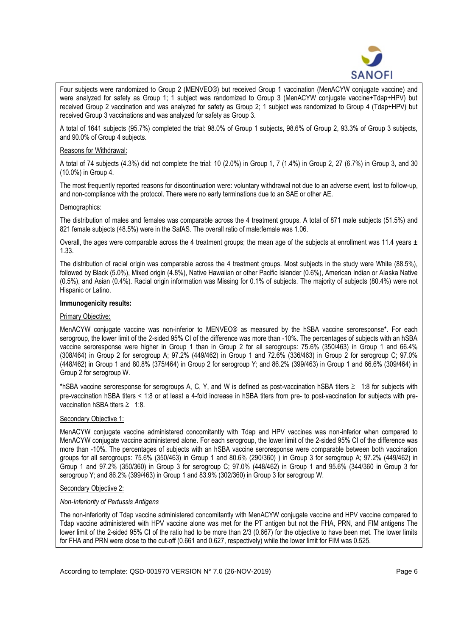

Four subjects were randomized to Group 2 (MENVEO®) but received Group 1 vaccination (MenACYW conjugate vaccine) and were analyzed for safety as Group 1; 1 subject was randomized to Group 3 (MenACYW conjugate vaccine+Tdap+HPV) but received Group 2 vaccination and was analyzed for safety as Group 2; 1 subject was randomized to Group 4 (Tdap+HPV) but received Group 3 vaccinations and was analyzed for safety as Group 3.

A total of 1641 subjects (95.7%) completed the trial: 98.0% of Group 1 subjects, 98.6% of Group 2, 93.3% of Group 3 subjects, and 90.0% of Group 4 subjects.

### Reasons for Withdrawal:

A total of 74 subjects (4.3%) did not complete the trial: 10 (2.0%) in Group 1, 7 (1.4%) in Group 2, 27 (6.7%) in Group 3, and 30 (10.0%) in Group 4.

The most frequently reported reasons for discontinuation were: voluntary withdrawal not due to an adverse event, lost to follow-up, and non-compliance with the protocol. There were no early terminations due to an SAE or other AE.

### Demographics:

The distribution of males and females was comparable across the 4 treatment groups. A total of 871 male subjects (51.5%) and 821 female subjects (48.5%) were in the SafAS. The overall ratio of male:female was 1.06.

Overall, the ages were comparable across the 4 treatment groups; the mean age of the subjects at enrollment was 11.4 years  $\pm$ 1.33.

The distribution of racial origin was comparable across the 4 treatment groups. Most subjects in the study were White (88.5%), followed by Black (5.0%), Mixed origin (4.8%), Native Hawaiian or other Pacific Islander (0.6%), American Indian or Alaska Native (0.5%), and Asian (0.4%). Racial origin information was Missing for 0.1% of subjects. The majority of subjects (80.4%) were not Hispanic or Latino.

### **Immunogenicity results:**

### Primary Objective:

MenACYW conjugate vaccine was non-inferior to MENVEO® as measured by the hSBA vaccine seroresponse\*. For each serogroup, the lower limit of the 2-sided 95% CI of the difference was more than -10%. The percentages of subjects with an hSBA vaccine seroresponse were higher in Group 1 than in Group 2 for all serogroups: 75.6% (350/463) in Group 1 and 66.4% (308/464) in Group 2 for serogroup A; 97.2% (449/462) in Group 1 and 72.6% (336/463) in Group 2 for serogroup C; 97.0% (448/462) in Group 1 and 80.8% (375/464) in Group 2 for serogroup Y; and 86.2% (399/463) in Group 1 and 66.6% (309/464) in Group 2 for serogroup W.

\*hSBA vaccine seroresponse for serogroups A, C, Y, and W is defined as post-vaccination hSBA titers ≥ 1:8 for subjects with pre-vaccination hSBA titers < 1:8 or at least a 4-fold increase in hSBA titers from pre- to post-vaccination for subjects with prevaccination hSBA titers  $\geq 1.8$ .

### Secondary Objective 1:

MenACYW conjugate vaccine administered concomitantly with Tdap and HPV vaccines was non-inferior when compared to MenACYW conjugate vaccine administered alone. For each serogroup, the lower limit of the 2-sided 95% CI of the difference was more than -10%. The percentages of subjects with an hSBA vaccine seroresponse were comparable between both vaccination groups for all serogroups: 75.6% (350/463) in Group 1 and 80.6% (290/360) ) in Group 3 for serogroup A; 97.2% (449/462) in Group 1 and 97.2% (350/360) in Group 3 for serogroup C; 97.0% (448/462) in Group 1 and 95.6% (344/360 in Group 3 for serogroup Y; and 86.2% (399/463) in Group 1 and 83.9% (302/360) in Group 3 for serogroup W.

#### Secondary Objective 2:

#### *Non-Inferiority of Pertussis Antigens*

The non-inferiority of Tdap vaccine administered concomitantly with MenACYW conjugate vaccine and HPV vaccine compared to Tdap vaccine administered with HPV vaccine alone was met for the PT antigen but not the FHA, PRN, and FIM antigens The lower limit of the 2-sided 95% CI of the ratio had to be more than 2/3 (0.667) for the objective to have been met. The lower limits for FHA and PRN were close to the cut-off (0.661 and 0.627, respectively) while the lower limit for FIM was 0.525.